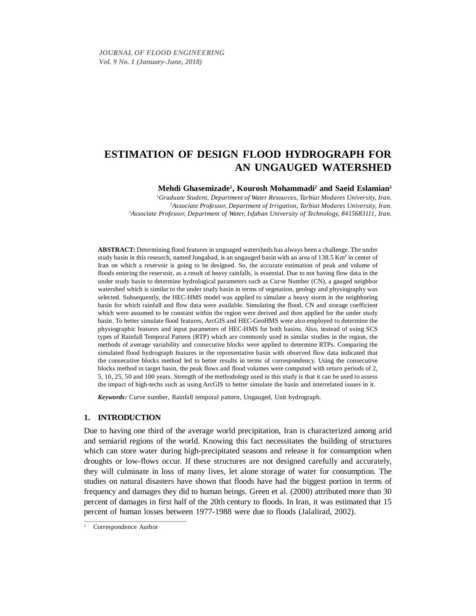**Mehdi Ghasemizade1 , Kourosh Mohammadi2 and Saeid Eslamian3**

1 *Graduate Student, Department of Water Resources, Tarbiat Modares University, Iran.* 2 *Associate Professor, Department of Irrigation, Tarbiat Modares University, Iran.* 3 *Associate Professor, Department of Water, Isfahan University of Technology, 8415683111, Iran.*

**ABSTRACT:** Determining flood features in unguaged watersheds has always been a challenge. The under study basin in this research, named Jongabad, is an ungauged basin with an area of 138.5 Km<sup>2</sup> in center of Iran on which a reservoir is going to be designed. So, the accurate estimation of peak and volume of floods entering the reservoir, as a result of heavy rainfalls, is essential. Due to not having flow data in the under study basin to determine hydrological parameters such as Curve Number (CN), a gauged neighbor watershed which is similar to the under study basin in terms of vegetation, geology and physiography was selected. Subsequently, the HEC-HMS model was applied to simulate a heavy storm in the neighboring basin for which rainfall and flow data were available. Simulating the flood, CN and storage coefficient which were assumed to be constant within the region were derived and then applied for the under study basin. To better simulate flood features, ArcGIS and HEC-GeoHMS were also employed to determine the physiographic features and input parameters of HEC-HMS for both basins. Also, instead of using SCS types of Rainfall Temporal Pattern (RTP) which are commonly used in similar studies in the region, the methods of average variability and consecutive blocks were applied to determine RTPs. Comparing the simulated flood hydrograph features in the representative basin with observed flow data indicated that the consecutive blocks method led to better results in terms of correspondency. Using the consecutive blocks method in target basin, the peak flows and flood volumes were computed with return periods of 2, 5, 10, 25, 50 and 100 years. Strength of the methodology used in this study is that it can be used to assess the impact of high-techs such as using ArcGIS to better simulate the basin and interrelated issues in it.

*Keywords:* Curve number, Rainfall temporal pattern, Ungauged, Unit hydrograph.

# **1. INTRODUCTION**

Due to having one third of the average world precipitation, Iran is characterized among arid and semiarid regions of the world. Knowing this fact necessitates the building of structures which can store water during high-precipitated seasons and release it for consumption when droughts or low-flows occur. If these structures are not designed carefully and accurately, they will culminate in loss of many lives, let alone storage of water for consumption. The studies on natural disasters have shown that floods have had the biggest portion in terms of frequency and damages they did to human beings. Green et al. (2000) attributed more than 30 percent of damages in first half of the 20th century to floods. In Iran, it was estimated that 15 percent of human losses between 1977-1988 were due to floods (Jalalirad, 2002).

Correspondence Author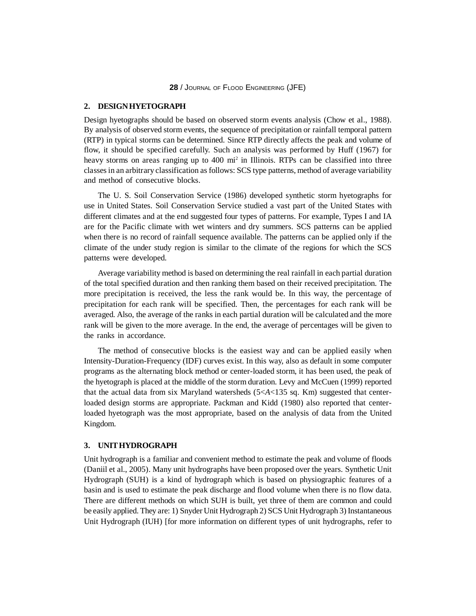# **2. DESIGN HYETOGRAPH**

Design hyetographs should be based on observed storm events analysis (Chow et al., 1988). By analysis of observed storm events, the sequence of precipitation or rainfall temporal pattern (RTP) in typical storms can be determined. Since RTP directly affects the peak and volume of flow, it should be specified carefully. Such an analysis was performed by Huff (1967) for heavy storms on areas ranging up to 400 mi<sup>2</sup> in Illinois. RTPs can be classified into three classes in an arbitrary classification as follows: SCS type patterns, method of average variability and method of consecutive blocks.

The U. S. Soil Conservation Service (1986) developed synthetic storm hyetographs for use in United States. Soil Conservation Service studied a vast part of the United States with different climates and at the end suggested four types of patterns. For example, Types I and IA are for the Pacific climate with wet winters and dry summers. SCS patterns can be applied when there is no record of rainfall sequence available. The patterns can be applied only if the climate of the under study region is similar to the climate of the regions for which the SCS patterns were developed.

Average variability method is based on determining the real rainfall in each partial duration of the total specified duration and then ranking them based on their received precipitation. The more precipitation is received, the less the rank would be. In this way, the percentage of precipitation for each rank will be specified. Then, the percentages for each rank will be averaged. Also, the average of the ranks in each partial duration will be calculated and the more rank will be given to the more average. In the end, the average of percentages will be given to the ranks in accordance.

The method of consecutive blocks is the easiest way and can be applied easily when Intensity-Duration-Frequency (IDF) curves exist. In this way, also as default in some computer programs as the alternating block method or center-loaded storm, it has been used, the peak of the hyetograph is placed at the middle of the storm duration. Levy and McCuen (1999) reported that the actual data from six Maryland watersheds (5<*A*<135 sq. Km) suggested that centerloaded design storms are appropriate. Packman and Kidd (1980) also reported that centerloaded hyetograph was the most appropriate, based on the analysis of data from the United Kingdom.

# **3. UNIT HYDROGRAPH**

Unit hydrograph is a familiar and convenient method to estimate the peak and volume of floods (Daniil et al., 2005). Many unit hydrographs have been proposed over the years. Synthetic Unit Hydrograph (SUH) is a kind of hydrograph which is based on physiographic features of a basin and is used to estimate the peak discharge and flood volume when there is no flow data. There are different methods on which SUH is built, yet three of them are common and could be easily applied. They are: 1) Snyder Unit Hydrograph 2) SCS Unit Hydrograph 3) Instantaneous Unit Hydrograph (IUH) [for more information on different types of unit hydrographs, refer to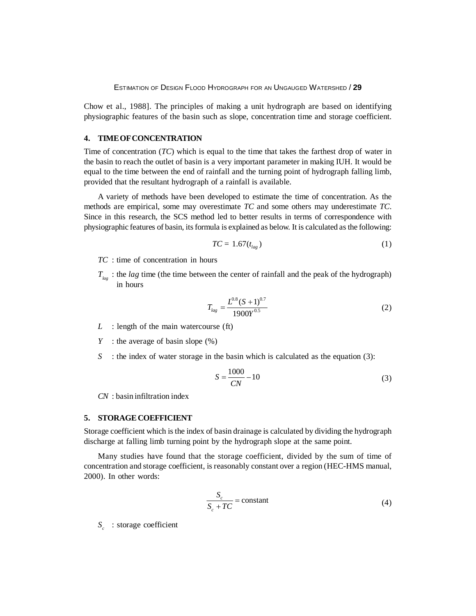Chow et al., 1988]. The principles of making a unit hydrograph are based on identifying physiographic features of the basin such as slope, concentration time and storage coefficient.

# **4. TIME OF CONCENTRATION**

Time of concentration (*TC*) which is equal to the time that takes the farthest drop of water in the basin to reach the outlet of basin is a very important parameter in making IUH. It would be equal to the time between the end of rainfall and the turning point of hydrograph falling limb, provided that the resultant hydrograph of a rainfall is available.

A variety of methods have been developed to estimate the time of concentration. As the methods are empirical, some may overestimate *TC* and some others may underestimate *TC*. Since in this research, the SCS method led to better results in terms of correspondence with physiographic features of basin, its formula is explained as below. It is calculated as the following:

$$
TC = 1.67(t_{lag})\tag{1}
$$

- *TC* : time of concentration in hours
- $T_{\text{loc}}$ : the *lag* time (the time between the center of rainfall and the peak of the hydrograph) in hours

$$
T_{lag} = \frac{L^{0.8} (S+1)^{0.7}}{1900 Y^{0.5}}
$$
 (2)

- *L* : length of the main watercourse (ft)
- *Y* : the average of basin slope  $(\%)$
- *S* : the index of water storage in the basin which is calculated as the equation (3):

$$
S = \frac{1000}{CN} - 10\tag{3}
$$

*CN* : basin infiltration index

# **5. STORAGE COEFFICIENT**

Storage coefficient which is the index of basin drainage is calculated by dividing the hydrograph discharge at falling limb turning point by the hydrograph slope at the same point.

Many studies have found that the storage coefficient, divided by the sum of time of concentration and storage coefficient, is reasonably constant over a region (HEC-HMS manual, 2000). In other words:

$$
\frac{S_c}{S_c + TC} = \text{constant} \tag{4}
$$

*S* : storage coefficient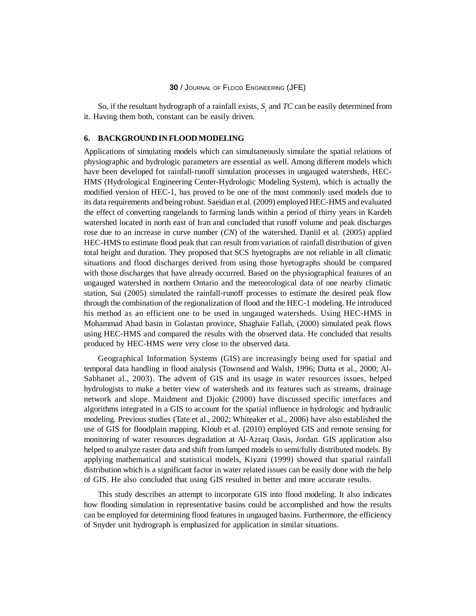# **30** / JOURNAL OF FLOOD ENGINEERING (JFE)

So, if the resultant hydrograph of a rainfall exists,  $S_c$  and  $TC$  can be easily determined from it. Having them both, constant can be easily driven.

# **6. BACKGROUND IN FLOOD MODELING**

Applications of simulating models which can simultaneously simulate the spatial relations of physiographic and hydrologic parameters are essential as well. Among different models which have been developed for rainfall-runoff simulation processes in ungauged watersheds, HEC-HMS (Hydrological Engineering Center-Hydrologic Modeling System), which is actually the modified version of HEC-1, has proved to be one of the most commonly used models due to its data requirements and being robust. Saeidian et al. (2009) employed HEC-HMS and evaluated the effect of converting rangelands to farming lands within a period of thirty years in Kardeh watershed located in north east of Iran and concluded that runoff volume and peak discharges rose due to an increase in curve number (*CN*) of the watershed. Daniil et al. (2005) applied HEC-HMS to estimate flood peak that can result from variation of rainfall distribution of given total height and duration. They proposed that SCS hyetographs are not reliable in all climatic situations and flood discharges derived from using those hyetographs should be compared with those discharges that have already occurred. Based on the physiographical features of an ungauged watershed in northern Ontario and the meteorological data of one nearby climatic station, Sui (2005) simulated the rainfall-runoff processes to estimate the desired peak flow through the combination of the regionalization of flood and the HEC-1 modeling. He introduced his method as an efficient one to be used in ungauged watersheds. Using HEC-HMS in Mohammad Abad basin in Golastan province, Shaghaie Fallah, (2000) simulated peak flows using HEC-HMS and compared the results with the observed data. He concluded that results produced by HEC-HMS were very close to the observed data.

Geographical Information Systems (GIS) are increasingly being used for spatial and temporal data handling in flood analysis (Townsend and Walsh, 1996; Dutta et al., 2000; Al-Sabhanet al., 2003). The advent of GIS and its usage in water resources issues, helped hydrologists to make a better view of watersheds and its features such as streams, drainage network and slope. Maidment and Djokic (2000) have discussed specific interfaces and algorithms integrated in a GIS to account for the spatial influence in hydrologic and hydraulic modeling. Previous studies (Tate et al., 2002; Whiteaker et al., 2006) have also established the use of GIS for floodplain mapping. Kloub et al. (2010) employed GIS and remote sensing for monitoring of water resources degradation at Al-Azraq Oasis, Jordan. GIS application also helped to analyze raster data and shift from lumped models to semi/fully distributed models. By applying mathematical and statistical models, Kiyani (1999) showed that spatial rainfall distribution which is a significant factor in water related issues can be easily done with the help of GIS. He also concluded that using GIS resulted in better and more accurate results.

This study describes an attempt to incorporate GIS into flood modeling. It also indicates how flooding simulation in representative basins could be accomplished and how the results can be employed for determining flood features in ungauged basins. Furthermore, the efficiency of Snyder unit hydrograph is emphasized for application in similar situations.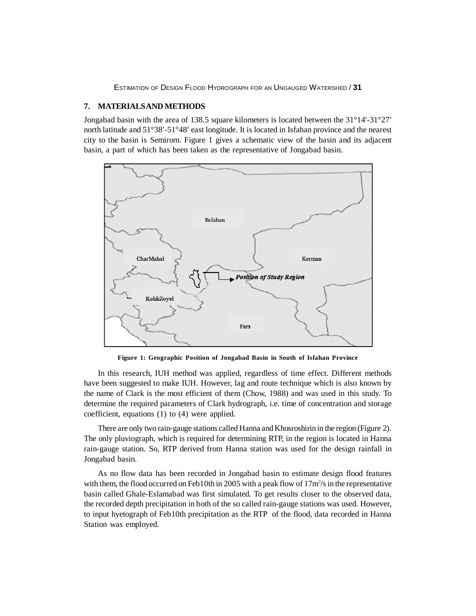# **7. MATERIALS AND METHODS**

Jongabad basin with the area of 138.5 square kilometers is located between the 31°14'-31°27� north latitude and  $51^{\circ}38'$ - $51^{\circ}48'$  east longitude. It is located in Isfahan province and the nearest city to the basin is Semirom. Figure 1 gives a schematic view of the basin and its adjacent basin, a part of which has been taken as the representative of Jongabad basin.



**Figure 1: Geographic Position of Jongabad Basin in South of Isfahan Province**

In this research, IUH method was applied, regardless of time effect. Different methods have been suggested to make IUH. However, lag and route technique which is also known by the name of Clark is the most efficient of them (Chow, 1988) and was used in this study. To determine the required parameters of Clark hydrograph, i.e. time of concentration and storage coefficient, equations (1) to (4) were applied.

There are only two rain-gauge stations called Hanna and Khosroshirin in the region (Figure 2). The only pluviograph, which is required for determining RTP, in the region is located in Hanna rain-gauge station. So, RTP derived from Hanna station was used for the design rainfall in Jongabad basin.

As no flow data has been recorded in Jongabad basin to estimate design flood features with them, the flood occurred on Feb10th in 2005 with a peak flow of  $17m<sup>3</sup>/s$  in the representative basin called Ghale-Eslamabad was first simulated. To get results closer to the observed data, the recorded depth precipitation in both of the so called rain-gauge stations was used. However, to input hyetograph of Feb10th precipitation as the RTP of the flood, data recorded in Hanna Station was employed.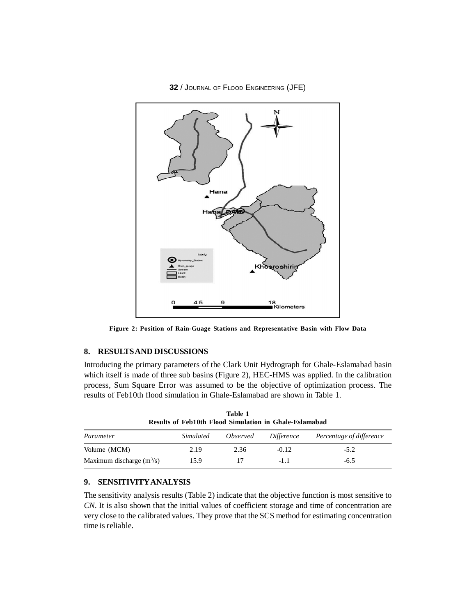**32** / JOURNAL OF FLOOD ENGINEERING (JFE)



**Figure 2: Position of Rain-Guage Stations and Representative Basin with Flow Data**

# **8. RESULTS AND DISCUSSIONS**

Introducing the primary parameters of the Clark Unit Hydrograph for Ghale-Eslamabad basin which itself is made of three sub basins (Figure 2), HEC-HMS was applied. In the calibration process, Sum Square Error was assumed to be the objective of optimization process. The results of Feb10th flood simulation in Ghale-Eslamabad are shown in Table 1.

| Table I<br><b>Results of Feb10th Flood Simulation in Ghale-Eslamabad</b> |           |                 |            |                          |
|--------------------------------------------------------------------------|-----------|-----------------|------------|--------------------------|
| Parameter                                                                | Simulated | <i>Observed</i> | Difference | Percentage of difference |
| Volume (MCM)                                                             | 2.19      | 2.36            | $-0.12$    | $-5.2$                   |
| Maximum discharge $(m^3/s)$                                              | 15.9      | 17              | $-1.1$     | $-6.5$                   |

**Table 1**

# **9. SENSITIVITY ANALYSIS**

The sensitivity analysis results (Table 2) indicate that the objective function is most sensitive to *CN*. It is also shown that the initial values of coefficient storage and time of concentration are very close to the calibrated values. They prove that the SCS method for estimating concentration time is reliable.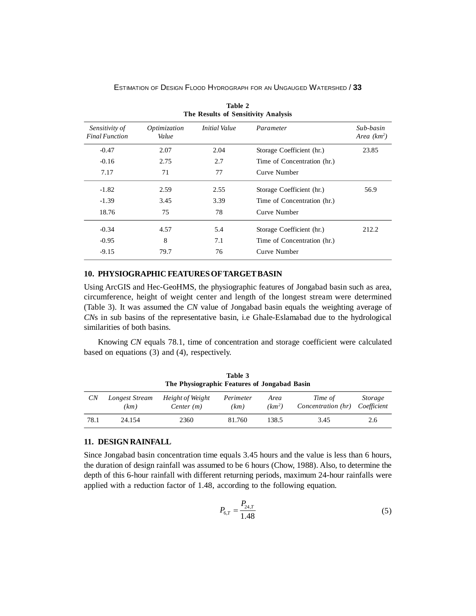| The Results of Sensitivity Analysis     |                       |                      |                             |                            |
|-----------------------------------------|-----------------------|----------------------|-----------------------------|----------------------------|
| Sensitivity of<br><b>Final Function</b> | Optimization<br>Value | <i>Initial Value</i> | Parameter                   | Sub-basin<br>Area $(km^2)$ |
| $-0.47$                                 | 2.07                  | 2.04                 | Storage Coefficient (hr.)   | 23.85                      |
| $-0.16$                                 | 2.75                  | 2.7                  | Time of Concentration (hr.) |                            |
| 7.17                                    | 71                    | 77                   | Curve Number                |                            |
| $-1.82$                                 | 2.59                  | 2.55                 | Storage Coefficient (hr.)   | 56.9                       |
| $-1.39$                                 | 3.45                  | 3.39                 | Time of Concentration (hr.) |                            |
| 18.76                                   | 75                    | 78                   | Curve Number                |                            |
| $-0.34$                                 | 4.57                  | 5.4                  | Storage Coefficient (hr.)   | 212.2                      |
| $-0.95$                                 | 8                     | 7.1                  | Time of Concentration (hr.) |                            |
| $-9.15$                                 | 79.7                  | 76                   | Curve Number                |                            |

**Table 2**

**10. PHYSIOGRAPHIC FEATURES OF TARGET BASIN**

Using ArcGIS and Hec-GeoHMS, the physiographic features of Jongabad basin such as area, circumference, height of weight center and length of the longest stream were determined (Table 3). It was assumed the *CN* value of Jongabad basin equals the weighting average of *CN*s in sub basins of the representative basin, i.e Ghale-Eslamabad due to the hydrological similarities of both basins.

Knowing *CN* equals 78.1, time of concentration and storage coefficient were calculated based on equations (3) and (4), respectively.

| Table 3<br>The Physiographic Features of Jongabad Basin |                        |                                  |                   |                            |                               |                               |
|---------------------------------------------------------|------------------------|----------------------------------|-------------------|----------------------------|-------------------------------|-------------------------------|
| СN                                                      | Longest Stream<br>(km) | Height of Weight<br>Center $(m)$ | Perimeter<br>(km) | Area<br>(km <sup>2</sup> ) | Time of<br>Concentration (hr) | <i>Storage</i><br>Coefficient |
| 78.1                                                    | 24.154                 | 2360                             | 81.760            | 138.5                      | 3.45                          | 2.6                           |

#### **11. DESIGN RAINFALL**

Since Jongabad basin concentration time equals 3.45 hours and the value is less than 6 hours, the duration of design rainfall was assumed to be 6 hours (Chow, 1988). Also, to determine the depth of this 6-hour rainfall with different returning periods, maximum 24-hour rainfalls were applied with a reduction factor of 1.48, according to the following equation.

$$
P_{6,T} = \frac{P_{24,T}}{1.48}
$$
 (5)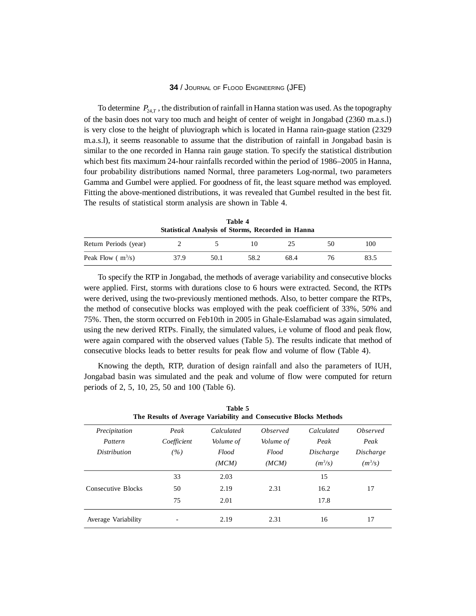# **34** / JOURNAL OF FLOOD ENGINEERING (JFE)

To determine  $P_{24,T}$ , the distribution of rainfall in Hanna station was used. As the topography of the basin does not vary too much and height of center of weight in Jongabad (2360 m.a.s.l) is very close to the height of pluviograph which is located in Hanna rain-guage station (2329 m.a.s.l), it seems reasonable to assume that the distribution of rainfall in Jongabad basin is similar to the one recorded in Hanna rain gauge station. To specify the statistical distribution which best fits maximum 24-hour rainfalls recorded within the period of 1986–2005 in Hanna, four probability distributions named Normal, three parameters Log-normal, two parameters Gamma and Gumbel were applied. For goodness of fit, the least square method was employed. Fitting the above-mentioned distributions, it was revealed that Gumbel resulted in the best fit. The results of statistical storm analysis are shown in Table 4.

**Table 4 Statistical Analysis of Storms, Recorded in Hanna**

| Return Periods (year) |      |      |      |      | 100  |
|-----------------------|------|------|------|------|------|
| Peak Flow $(m^3/s)$   | 37.9 | 50.1 | 58.2 | 68.4 | 83.5 |

To specify the RTP in Jongabad, the methods of average variability and consecutive blocks were applied. First, storms with durations close to 6 hours were extracted. Second, the RTPs were derived, using the two-previously mentioned methods. Also, to better compare the RTPs, the method of consecutive blocks was employed with the peak coefficient of 33%, 50% and 75%. Then, the storm occurred on Feb10th in 2005 in Ghale-Eslamabad was again simulated, using the new derived RTPs. Finally, the simulated values, i.e volume of flood and peak flow, were again compared with the observed values (Table 5). The results indicate that method of consecutive blocks leads to better results for peak flow and volume of flow (Table 4).

Knowing the depth, RTP, duration of design rainfall and also the parameters of IUH, Jongabad basin was simulated and the peak and volume of flow were computed for return periods of 2, 5, 10, 25, 50 and 100 (Table 6).

| Table 5<br>The Results of Average Variability and Consecutive Blocks Methods |                            |                                                  |                                                |                                              |                                                          |
|------------------------------------------------------------------------------|----------------------------|--------------------------------------------------|------------------------------------------------|----------------------------------------------|----------------------------------------------------------|
| Precipitation<br>Pattern<br><i>Distribution</i>                              | Peak<br>Coefficient<br>(%) | Calculated<br><i>Volume of</i><br>Flood<br>(MCM) | Observed<br><i>Volume of</i><br>Flood<br>(MCM) | Calculated<br>Peak<br>Discharge<br>$(m^3/s)$ | <i><b>Observed</b></i><br>Peak<br>Discharge<br>$(m^3/s)$ |
| Consecutive Blocks                                                           | 33<br>50<br>75             | 2.03<br>2.19<br>2.01                             | 2.31                                           | 15<br>16.2<br>17.8                           | 17                                                       |
| Average Variability                                                          |                            | 2.19                                             | 2.31                                           | 16                                           | 17                                                       |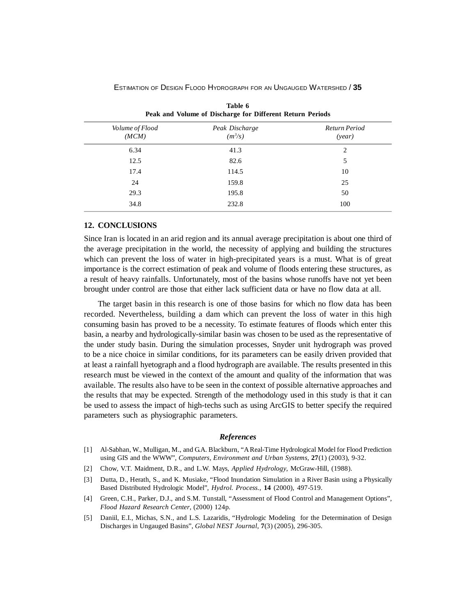| tuvit v<br>Peak and Volume of Discharge for Different Return Periods |                             |                         |  |  |  |
|----------------------------------------------------------------------|-----------------------------|-------------------------|--|--|--|
| Volume of Flood<br>(MCM)                                             | Peak Discharge<br>$(m^3/s)$ | Return Period<br>(year) |  |  |  |
| 6.34                                                                 | 41.3                        | 2                       |  |  |  |
| 12.5                                                                 | 82.6                        | 5                       |  |  |  |
| 17.4                                                                 | 114.5                       | 10                      |  |  |  |
| 24                                                                   | 159.8                       | 25                      |  |  |  |
| 29.3                                                                 | 195.8                       | 50                      |  |  |  |
| 34.8                                                                 | 232.8                       | 100                     |  |  |  |
|                                                                      |                             |                         |  |  |  |

**Table 6**

# **12. CONCLUSIONS**

Since Iran is located in an arid region and its annual average precipitation is about one third of the average precipitation in the world, the necessity of applying and building the structures which can prevent the loss of water in high-precipitated years is a must. What is of great importance is the correct estimation of peak and volume of floods entering these structures, as a result of heavy rainfalls. Unfortunately, most of the basins whose runoffs have not yet been brought under control are those that either lack sufficient data or have no flow data at all.

The target basin in this research is one of those basins for which no flow data has been recorded. Nevertheless, building a dam which can prevent the loss of water in this high consuming basin has proved to be a necessity. To estimate features of floods which enter this basin, a nearby and hydrologically-similar basin was chosen to be used as the representative of the under study basin. During the simulation processes, Snyder unit hydrograph was proved to be a nice choice in similar conditions, for its parameters can be easily driven provided that at least a rainfall hyetograph and a flood hydrograph are available. The results presented in this research must be viewed in the context of the amount and quality of the information that was available. The results also have to be seen in the context of possible alternative approaches and the results that may be expected. Strength of the methodology used in this study is that it can be used to assess the impact of high-techs such as using ArcGIS to better specify the required parameters such as physiographic parameters.

#### *References*

- [1] Al-Sabhan, W., Mulligan, M., and G.A. Blackburn, "A Real-Time Hydrological Model for Flood Prediction using GIS and the WWW", *Computers, Environment and Urban Systems*, **27**(1) (2003), 9-32.
- [2] Chow, V.T. Maidment, D.R., and L.W. Mays, *Applied Hydrology*, McGraw-Hill, (1988).
- [3] Dutta, D., Herath, S., and K. Musiake, "Flood Inundation Simulation in a River Basin using a Physically Based Distributed Hydrologic Model", *Hydrol. Process.*, **14** (2000), 497-519.
- [4] Green, C.H., Parker, D.J., and S.M. Tunstall, "Assessment of Flood Control and Management Options", *Flood Hazard Research Center*, (2000) 124p.
- [5] Daniil, E.I., Michas, S.N., and L.S. Lazaridis, "Hydrologic Modeling for the Determination of Design Discharges in Ungauged Basins", *Global NEST Journal*, **7**(3) (2005), 296-305.